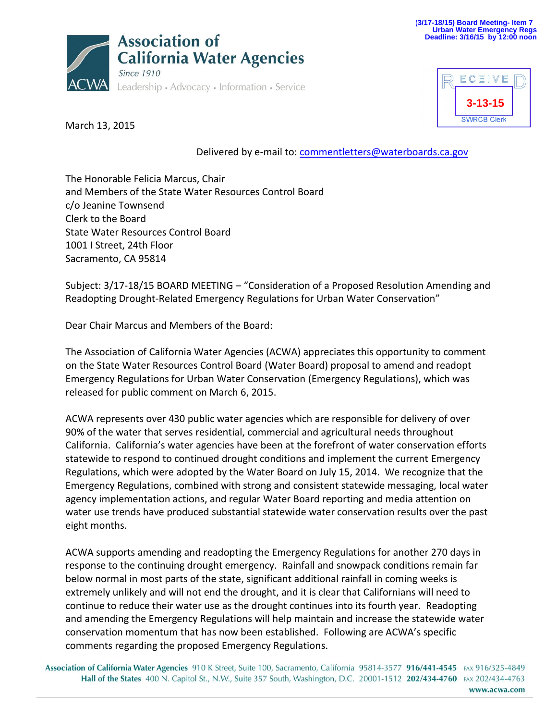



March 13, 2015

Delivered by e-mail to: [commentletters@waterboards.ca.gov](mailto:commentletters@waterboards.ca.gov)

The Honorable Felicia Marcus, Chair and Members of the State Water Resources Control Board c/o Jeanine Townsend Clerk to the Board State Water Resources Control Board 1001 I Street, 24th Floor Sacramento, CA 95814

Subject: 3/17-18/15 BOARD MEETING – "Consideration of a Proposed Resolution Amending and Readopting Drought-Related Emergency Regulations for Urban Water Conservation"

Dear Chair Marcus and Members of the Board:

The Association of California Water Agencies (ACWA) appreciates this opportunity to comment on the State Water Resources Control Board (Water Board) proposal to amend and readopt Emergency Regulations for Urban Water Conservation (Emergency Regulations), which was released for public comment on March 6, 2015.

ACWA represents over 430 public water agencies which are responsible for delivery of over 90% of the water that serves residential, commercial and agricultural needs throughout California. California's water agencies have been at the forefront of water conservation efforts statewide to respond to continued drought conditions and implement the current Emergency Regulations, which were adopted by the Water Board on July 15, 2014. We recognize that the Emergency Regulations, combined with strong and consistent statewide messaging, local water agency implementation actions, and regular Water Board reporting and media attention on water use trends have produced substantial statewide water conservation results over the past eight months.

ACWA supports amending and readopting the Emergency Regulations for another 270 days in response to the continuing drought emergency. Rainfall and snowpack conditions remain far below normal in most parts of the state, significant additional rainfall in coming weeks is extremely unlikely and will not end the drought, and it is clear that Californians will need to continue to reduce their water use as the drought continues into its fourth year. Readopting and amending the Emergency Regulations will help maintain and increase the statewide water conservation momentum that has now been established. Following are ACWA's specific comments regarding the proposed Emergency Regulations.

Association of California Water Agencies 910 K Street, Suite 100, Sacramento, California 95814-3577 916/441-4545 FAX 916/325-4849 Hall of the States 400 N. Capitol St., N.W., Suite 357 South, Washington, D.C. 20001-1512 202/434-4760 FAX 202/434-4763 www.acwa.com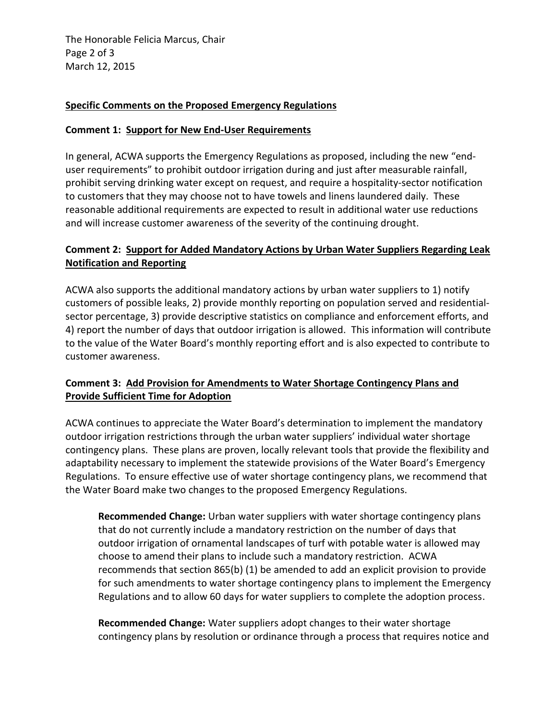The Honorable Felicia Marcus, Chair Page 2 of 3 March 12, 2015

### **Specific Comments on the Proposed Emergency Regulations**

### **Comment 1: Support for New End-User Requirements**

In general, ACWA supports the Emergency Regulations as proposed, including the new "enduser requirements" to prohibit outdoor irrigation during and just after measurable rainfall, prohibit serving drinking water except on request, and require a hospitality-sector notification to customers that they may choose not to have towels and linens laundered daily. These reasonable additional requirements are expected to result in additional water use reductions and will increase customer awareness of the severity of the continuing drought.

## **Comment 2: Support for Added Mandatory Actions by Urban Water Suppliers Regarding Leak Notification and Reporting**

ACWA also supports the additional mandatory actions by urban water suppliers to 1) notify customers of possible leaks, 2) provide monthly reporting on population served and residentialsector percentage, 3) provide descriptive statistics on compliance and enforcement efforts, and 4) report the number of days that outdoor irrigation is allowed. This information will contribute to the value of the Water Board's monthly reporting effort and is also expected to contribute to customer awareness.

## **Comment 3: Add Provision for Amendments to Water Shortage Contingency Plans and Provide Sufficient Time for Adoption**

ACWA continues to appreciate the Water Board's determination to implement the mandatory outdoor irrigation restrictions through the urban water suppliers' individual water shortage contingency plans. These plans are proven, locally relevant tools that provide the flexibility and adaptability necessary to implement the statewide provisions of the Water Board's Emergency Regulations. To ensure effective use of water shortage contingency plans, we recommend that the Water Board make two changes to the proposed Emergency Regulations.

**Recommended Change:** Urban water suppliers with water shortage contingency plans that do not currently include a mandatory restriction on the number of days that outdoor irrigation of ornamental landscapes of turf with potable water is allowed may choose to amend their plans to include such a mandatory restriction. ACWA recommends that section 865(b) (1) be amended to add an explicit provision to provide for such amendments to water shortage contingency plans to implement the Emergency Regulations and to allow 60 days for water suppliers to complete the adoption process.

**Recommended Change:** Water suppliers adopt changes to their water shortage contingency plans by resolution or ordinance through a process that requires notice and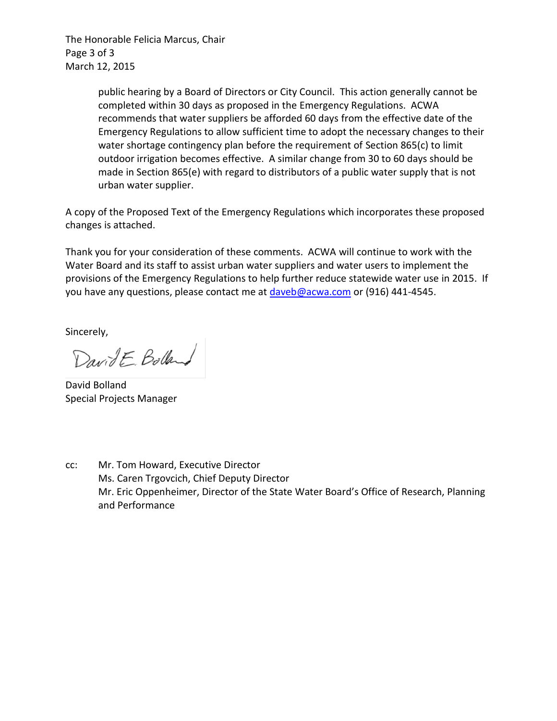The Honorable Felicia Marcus, Chair Page 3 of 3 March 12, 2015

> public hearing by a Board of Directors or City Council. This action generally cannot be completed within 30 days as proposed in the Emergency Regulations. ACWA recommends that water suppliers be afforded 60 days from the effective date of the Emergency Regulations to allow sufficient time to adopt the necessary changes to their water shortage contingency plan before the requirement of Section 865(c) to limit outdoor irrigation becomes effective. A similar change from 30 to 60 days should be made in Section 865(e) with regard to distributors of a public water supply that is not urban water supplier.

A copy of the Proposed Text of the Emergency Regulations which incorporates these proposed changes is attached.

Thank you for your consideration of these comments. ACWA will continue to work with the Water Board and its staff to assist urban water suppliers and water users to implement the provisions of the Emergency Regulations to help further reduce statewide water use in 2015. If you have any questions, please contact me at [daveb@acwa.com](mailto:daveb@acwa.com) or (916) 441-4545.

Sincerely,

DavidE. Bolland

David Bolland Special Projects Manager

cc: Mr. Tom Howard, Executive Director Ms. Caren Trgovcich, Chief Deputy Director Mr. Eric Oppenheimer, Director of the State Water Board's Office of Research, Planning and Performance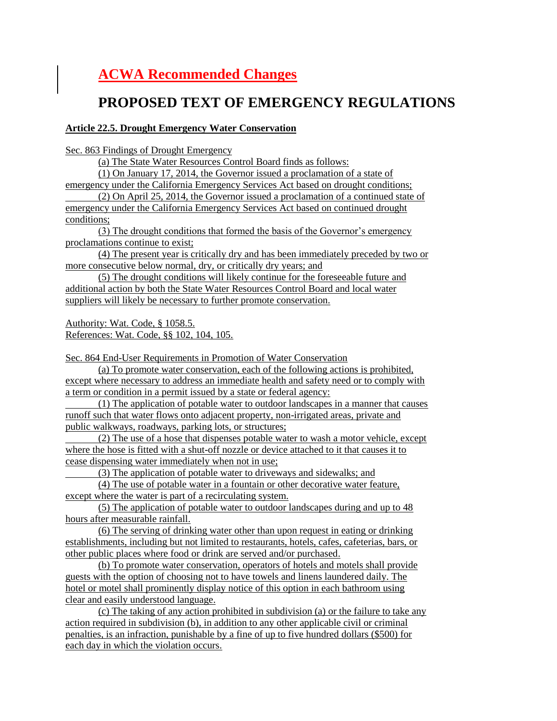# **ACWA Recommended Changes**

# **PROPOSED TEXT OF EMERGENCY REGULATIONS**

#### **Article 22.5. Drought Emergency Water Conservation**

Sec. 863 Findings of Drought Emergency

(a) The State Water Resources Control Board finds as follows:

(1) On January 17, 2014, the Governor issued a proclamation of a state of emergency under the California Emergency Services Act based on drought conditions;

(2) On April 25, 2014, the Governor issued a proclamation of a continued state of emergency under the California Emergency Services Act based on continued drought conditions;

(3) The drought conditions that formed the basis of the Governor's emergency proclamations continue to exist;

(4) The present year is critically dry and has been immediately preceded by two or more consecutive below normal, dry, or critically dry years; and

(5) The drought conditions will likely continue for the foreseeable future and additional action by both the State Water Resources Control Board and local water suppliers will likely be necessary to further promote conservation.

Authority: Wat. Code, § 1058.5. References: Wat. Code, §§ 102, 104, 105.

Sec. 864 End-User Requirements in Promotion of Water Conservation

(a) To promote water conservation, each of the following actions is prohibited, except where necessary to address an immediate health and safety need or to comply with a term or condition in a permit issued by a state or federal agency:

(1) The application of potable water to outdoor landscapes in a manner that causes runoff such that water flows onto adjacent property, non-irrigated areas, private and public walkways, roadways, parking lots, or structures;

(2) The use of a hose that dispenses potable water to wash a motor vehicle, except where the hose is fitted with a shut-off nozzle or device attached to it that causes it to cease dispensing water immediately when not in use;

(3) The application of potable water to driveways and sidewalks; and

(4) The use of potable water in a fountain or other decorative water feature, except where the water is part of a recirculating system.

(5) The application of potable water to outdoor landscapes during and up to 48 hours after measurable rainfall.

(6) The serving of drinking water other than upon request in eating or drinking establishments, including but not limited to restaurants, hotels, cafes, cafeterias, bars, or other public places where food or drink are served and/or purchased.

(b) To promote water conservation, operators of hotels and motels shall provide guests with the option of choosing not to have towels and linens laundered daily. The hotel or motel shall prominently display notice of this option in each bathroom using clear and easily understood language.

(c) The taking of any action prohibited in subdivision (a) or the failure to take any action required in subdivision (b), in addition to any other applicable civil or criminal penalties, is an infraction, punishable by a fine of up to five hundred dollars (\$500) for each day in which the violation occurs.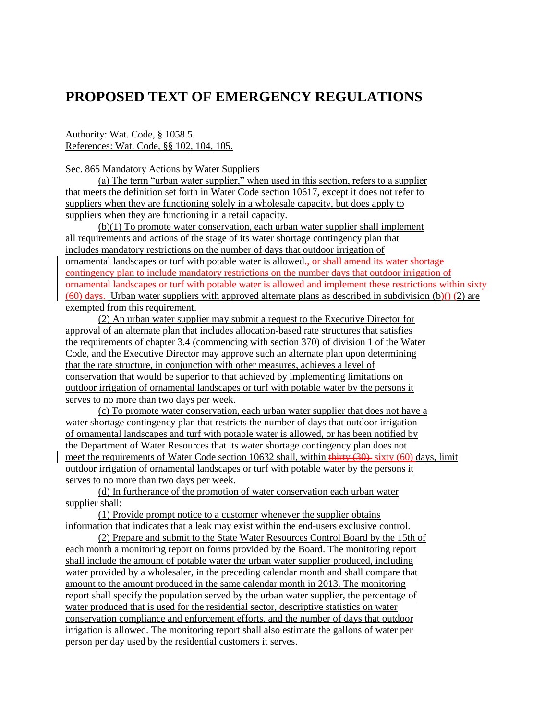## **PROPOSED TEXT OF EMERGENCY REGULATIONS**

Authority: Wat. Code, § 1058.5. References: Wat. Code, §§ 102, 104, 105.

Sec. 865 Mandatory Actions by Water Suppliers

(a) The term "urban water supplier," when used in this section, refers to a supplier that meets the definition set forth in Water Code section 10617, except it does not refer to suppliers when they are functioning solely in a wholesale capacity, but does apply to suppliers when they are functioning in a retail capacity.

(b)(1) To promote water conservation, each urban water supplier shall implement all requirements and actions of the stage of its water shortage contingency plan that includes mandatory restrictions on the number of days that outdoor irrigation of ornamental landscapes or turf with potable water is allowed $\tau$ , or shall amend its water shortage contingency plan to include mandatory restrictions on the number days that outdoor irrigation of ornamental landscapes or turf with potable water is allowed and implement these restrictions within sixty (60) days. Urban water suppliers with approved alternate plans as described in subdivision (b)() (2) are exempted from this requirement.

(2) An urban water supplier may submit a request to the Executive Director for approval of an alternate plan that includes allocation-based rate structures that satisfies the requirements of chapter 3.4 (commencing with section 370) of division 1 of the Water Code, and the Executive Director may approve such an alternate plan upon determining that the rate structure, in conjunction with other measures, achieves a level of conservation that would be superior to that achieved by implementing limitations on outdoor irrigation of ornamental landscapes or turf with potable water by the persons it serves to no more than two days per week.

(c) To promote water conservation, each urban water supplier that does not have a water shortage contingency plan that restricts the number of days that outdoor irrigation of ornamental landscapes and turf with potable water is allowed, or has been notified by the Department of Water Resources that its water shortage contingency plan does not meet the requirements of Water Code section 10632 shall, within  $\frac{\text{third}}{\text{third}}(30)$  sixty (60) days, limit outdoor irrigation of ornamental landscapes or turf with potable water by the persons it serves to no more than two days per week.

(d) In furtherance of the promotion of water conservation each urban water supplier shall:

(1) Provide prompt notice to a customer whenever the supplier obtains information that indicates that a leak may exist within the end-users exclusive control.

(2) Prepare and submit to the State Water Resources Control Board by the 15th of each month a monitoring report on forms provided by the Board. The monitoring report shall include the amount of potable water the urban water supplier produced, including water provided by a wholesaler, in the preceding calendar month and shall compare that amount to the amount produced in the same calendar month in 2013. The monitoring report shall specify the population served by the urban water supplier, the percentage of water produced that is used for the residential sector, descriptive statistics on water conservation compliance and enforcement efforts, and the number of days that outdoor irrigation is allowed. The monitoring report shall also estimate the gallons of water per person per day used by the residential customers it serves.